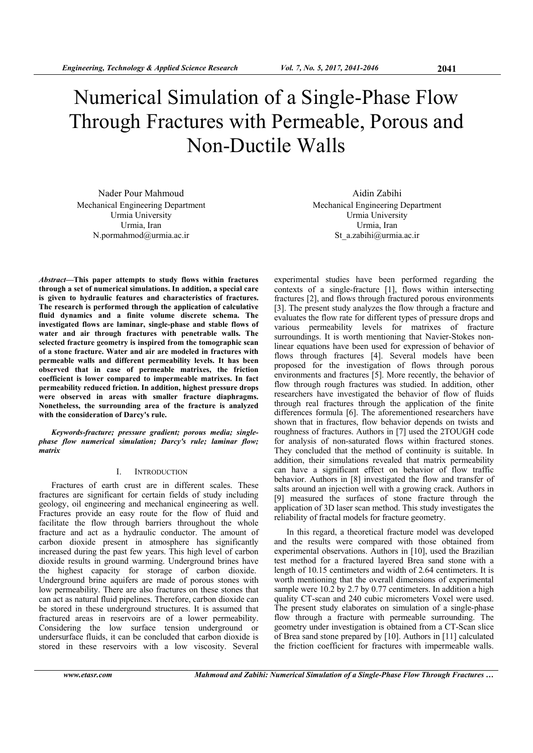# Numerical Simulation of a Single-Phase Flow Through Fractures with Permeable, Porous and Non-Ductile Walls

Nader Pour Mahmoud Mechanical Engineering Department Urmia University Urmia, Iran N.pormahmod@urmia.ac.ir

*Abstract***—This paper attempts to study flows within fractures through a set of numerical simulations. In addition, a special care is given to hydraulic features and characteristics of fractures. The research is performed through the application of calculative fluid dynamics and a finite volume discrete schema. The investigated flows are laminar, single-phase and stable flows of water and air through fractures with penetrable walls. The selected fracture geometry is inspired from the tomographic scan of a stone fracture. Water and air are modeled in fractures with permeable walls and different permeability levels. It has been observed that in case of permeable matrixes, the friction coefficient is lower compared to impermeable matrixes. In fact permeability reduced friction. In addition, highest pressure drops were observed in areas with smaller fracture diaphragms. Nonetheless, the surrounding area of the fracture is analyzed with the consideration of Darcy's rule.** 

*Keywords-fracture; pressure gradient; porous media; singlephase flow numerical simulation; Darcy's rule; laminar flow; matrix* 

#### I. INTRODUCTION

Fractures of earth crust are in different scales. These fractures are significant for certain fields of study including geology, oil engineering and mechanical engineering as well. Fractures provide an easy route for the flow of fluid and facilitate the flow through barriers throughout the whole fracture and act as a hydraulic conductor. The amount of carbon dioxide present in atmosphere has significantly increased during the past few years. This high level of carbon dioxide results in ground warming. Underground brines have the highest capacity for storage of carbon dioxide. Underground brine aquifers are made of porous stones with low permeability. There are also fractures on these stones that can act as natural fluid pipelines. Therefore, carbon dioxide can be stored in these underground structures. It is assumed that fractured areas in reservoirs are of a lower permeability. Considering the low surface tension underground or undersurface fluids, it can be concluded that carbon dioxide is stored in these reservoirs with a low viscosity. Several

Aidin Zabihi Mechanical Engineering Department Urmia University Urmia, Iran St\_a.zabihi@urmia.ac.ir

experimental studies have been performed regarding the contexts of a single-fracture [1], flows within intersecting fractures [2], and flows through fractured porous environments [3]. The present study analyzes the flow through a fracture and evaluates the flow rate for different types of pressure drops and various permeability levels for matrixes of fracture surroundings. It is worth mentioning that Navier-Stokes nonlinear equations have been used for expression of behavior of flows through fractures [4]. Several models have been proposed for the investigation of flows through porous environments and fractures [5]. More recently, the behavior of flow through rough fractures was studied. In addition, other researchers have investigated the behavior of flow of fluids through real fractures through the application of the finite differences formula [6]. The aforementioned researchers have shown that in fractures, flow behavior depends on twists and roughness of fractures. Authors in [7] used the 2TOUGH code for analysis of non-saturated flows within fractured stones. They concluded that the method of continuity is suitable. In addition, their simulations revealed that matrix permeability can have a significant effect on behavior of flow traffic behavior. Authors in [8] investigated the flow and transfer of salts around an injection well with a growing crack. Authors in [9] measured the surfaces of stone fracture through the application of 3D laser scan method. This study investigates the reliability of fractal models for fracture geometry.

In this regard, a theoretical fracture model was developed and the results were compared with those obtained from experimental observations. Authors in [10], used the Brazilian test method for a fractured layered Brea sand stone with a length of 10.15 centimeters and width of 2.64 centimeters. It is worth mentioning that the overall dimensions of experimental sample were 10.2 by 2.7 by 0.77 centimeters. In addition a high quality CT-scan and 240 cubic micrometers Voxel were used. The present study elaborates on simulation of a single-phase flow through a fracture with permeable surrounding. The geometry under investigation is obtained from a CT-Scan slice of Brea sand stone prepared by [10]. Authors in [11] calculated the friction coefficient for fractures with impermeable walls.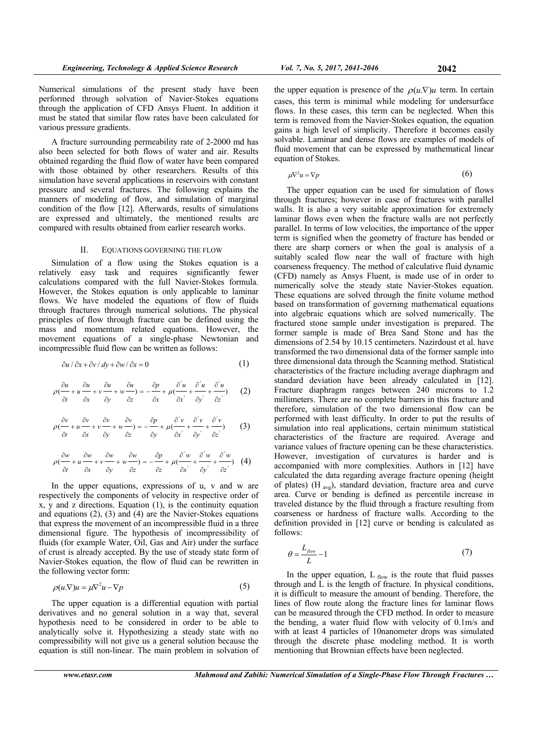Numerical simulations of the present study have been performed through solvation of Navier-Stokes equations through the application of CFD Ansys Fluent. In addition it must be stated that similar flow rates have been calculated for various pressure gradients.

A fracture surrounding permeability rate of 2-2000 md has also been selected for both flows of water and air. Results obtained regarding the fluid flow of water have been compared with those obtained by other researchers. Results of this simulation have several applications in reservoirs with constant pressure and several fractures. The following explains the manners of modeling of flow, and simulation of marginal condition of the flow [12]. Afterwards, results of simulations are expressed and ultimately, the mentioned results are compared with results obtained from earlier research works.

#### II. EQUATIONS GOVERNING THE FLOW

Simulation of a flow using the Stokes equation is a relatively easy task and requires significantly fewer calculations compared with the full Navier-Stokes formula. However, the Stokes equation is only applicable to laminar flows. We have modeled the equations of flow of fluids through fractures through numerical solutions. The physical principles of flow through fracture can be defined using the mass and momentum related equations. However, the movement equations of a single-phase Newtonian and incompressible fluid flow can be written as follows:

$$
\frac{\partial u}{\partial x} + \frac{\partial v}{\partial y} + \frac{\partial w}{\partial x} = 0 \tag{1}
$$

$$
\rho \frac{\partial u}{\partial t} + u \frac{\partial u}{\partial x} + v \frac{\partial u}{\partial y} + w \frac{\partial u}{\partial z} = -\frac{\partial p}{\partial x} + \mu \frac{\partial^2 u}{\partial x^2} + \frac{\partial^2 u}{\partial y^2} + \frac{\partial^2 u}{\partial z^2} \tag{2}
$$

$$
\rho \frac{\partial v}{\partial t} + u \frac{\partial v}{\partial x} + v \frac{\partial v}{\partial y} + w \frac{\partial v}{\partial z} = -\frac{\partial p}{\partial y} + \mu \frac{\partial^2 v}{\partial x^2} + \frac{\partial^2 v}{\partial y^2} + \frac{\partial^2 v}{\partial z^2}
$$
 (3)

$$
\rho \frac{\partial w}{\partial t} + u \frac{\partial w}{\partial x} + v \frac{\partial w}{\partial y} + w \frac{\partial w}{\partial z} = -\frac{\partial p}{\partial z} + \mu \frac{\partial^2 w}{\partial x^2} + \frac{\partial^2 w}{\partial y^2} + \frac{\partial^2 w}{\partial z^2} \tag{4}
$$

In the upper equations, expressions of u, v and w are respectively the components of velocity in respective order of x, y and z directions. Equation (1), is the continuity equation and equations (2), (3) and (4) are the Navier-Stokes equations that express the movement of an incompressible fluid in a three dimensional figure. The hypothesis of incompressibility of fluids (for example Water, Oil, Gas and Air) under the surface of crust is already accepted. By the use of steady state form of Navier-Stokes equation, the flow of fluid can be rewritten in the following vector form:

$$
\rho(u.\nabla)u = \mu \nabla^2 u - \nabla p \tag{5}
$$

The upper equation is a differential equation with partial derivatives and no general solution in a way that, several hypothesis need to be considered in order to be able to analytically solve it. Hypothesizing a steady state with no compressibility will not give us a general solution because the equation is still non-linear. The main problem in solvation of

the upper equation is presence of the 
$$
\rho(u.\nabla)u
$$
 term. In certain cases, this term is minimal while modeling for undersurface flows. In these cases, this term can be neglected. When this term is removed from the Navier-Stokes equation, the equation gains a high level of simplicity. Therefore it becomes easily solvable. Laminar and dense flows are examples of models of fluid movement that can be expressed by mathematical linear equation of Stokes.

$$
\mu \nabla^2 u = \nabla p \tag{6}
$$

The upper equation can be used for simulation of flows through fractures; however in case of fractures with parallel walls. It is also a very suitable approximation for extremely laminar flows even when the fracture walls are not perfectly parallel. In terms of low velocities, the importance of the upper term is signified when the geometry of fracture has bended or there are sharp corners or when the goal is analysis of a suitably scaled flow near the wall of fracture with high coarseness frequency. The method of calculative fluid dynamic (CFD) namely as Ansys Fluent, is made use of in order to numerically solve the steady state Navier-Stokes equation. These equations are solved through the finite volume method based on transformation of governing mathematical equations into algebraic equations which are solved numerically. The fractured stone sample under investigation is prepared. The former sample is made of Brea Sand Stone and has the dimensions of 2.54 by 10.15 centimeters. Nazirdoust et al. have transformed the two dimensional data of the former sample into three dimensional data through the Scanning method. Statistical characteristics of the fracture including average diaphragm and standard deviation have been already calculated in [12]. Fracture diaphragm ranges between 240 microns to 1.2 millimeters. There are no complete barriers in this fracture and therefore, simulation of the two dimensional flow can be performed with least difficulty. In order to put the results of simulation into real applications, certain minimum statistical characteristics of the fracture are required. Average and variance values of fracture opening can be these characteristics. However, investigation of curvatures is harder and is accompanied with more complexities. Authors in [12] have calculated the data regarding average fracture opening (height of plates) (H avg), standard deviation, fracture area and curve area. Curve or bending is defined as percentile increase in traveled distance by the fluid through a fracture resulting from coarseness or hardness of fracture walls. According to the definition provided in [12] curve or bending is calculated as follows:

$$
\theta = \frac{L_{flow}}{L} - 1\tag{7}
$$

In the upper equation,  $L_{flow}$  is the route that fluid passes through and L is the length of fracture. In physical conditions, it is difficult to measure the amount of bending. Therefore, the lines of flow route along the fracture lines for laminar flows can be measured through the CFD method. In order to measure the bending, a water fluid flow with velocity of 0.1m/s and with at least 4 particles of 10nanometer drops was simulated through the discrete phase modeling method. It is worth mentioning that Brownian effects have been neglected.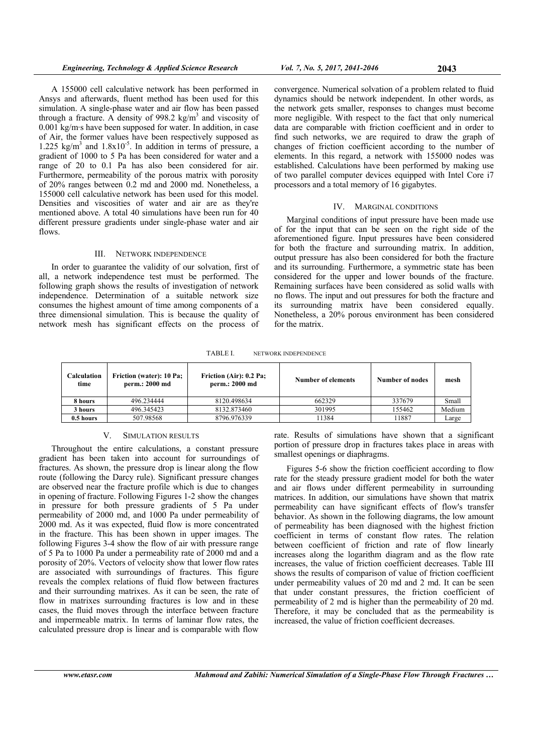A 155000 cell calculative network has been performed in Ansys and afterwards, fluent method has been used for this simulation. A single-phase water and air flow has been passed through a fracture. A density of  $998.2 \text{ kg/m}^3$  and viscosity of 0.001 kg/m·s have been supposed for water. In addition, in case of Air, the former values have been respectively supposed as  $1.225 \text{ kg/m}^3$  and  $1.8x10^{-5}$ . In addition in terms of pressure, a gradient of 1000 to 5 Pa has been considered for water and a range of 20 to 0.1 Pa has also been considered for air. Furthermore, permeability of the porous matrix with porosity of 20% ranges between 0.2 md and 2000 md. Nonetheless, a 155000 cell calculative network has been used for this model. Densities and viscosities of water and air are as they're mentioned above. A total 40 simulations have been run for 40 different pressure gradients under single-phase water and air flows.

### III. NETWORK INDEPENDENCE

In order to guarantee the validity of our solvation, first of all, a network independence test must be performed. The following graph shows the results of investigation of network independence. Determination of a suitable network size consumes the highest amount of time among components of a three dimensional simulation. This is because the quality of network mesh has significant effects on the process of

convergence. Numerical solvation of a problem related to fluid dynamics should be network independent. In other words, as the network gets smaller, responses to changes must become more negligible. With respect to the fact that only numerical data are comparable with friction coefficient and in order to find such networks, we are required to draw the graph of changes of friction coefficient according to the number of elements. In this regard, a network with 155000 nodes was established. Calculations have been performed by making use of two parallel computer devices equipped with Intel Core i7 processors and a total memory of 16 gigabytes.

#### IV. MARGINAL CONDITIONS

Marginal conditions of input pressure have been made use of for the input that can be seen on the right side of the aforementioned figure. Input pressures have been considered for both the fracture and surrounding matrix. In addition, output pressure has also been considered for both the fracture and its surrounding. Furthermore, a symmetric state has been considered for the upper and lower bounds of the fracture. Remaining surfaces have been considered as solid walls with no flows. The input and out pressures for both the fracture and its surrounding matrix have been considered equally. Nonetheless, a 20% porous environment has been considered for the matrix.

TABLE I. NETWORK INDEPENDENCE

| <b>Calculation</b><br>time | <b>Friction (water): 10 Pa;</b><br>perm.: 2000 md | Friction (Air): 0.2 Pa;<br>perm.: 2000 md | Number of elements | Number of nodes | mesh   |
|----------------------------|---------------------------------------------------|-------------------------------------------|--------------------|-----------------|--------|
| 8 hours                    | 496.234444                                        | 8120.498634                               | 662329             | 337679          | Small  |
| 3 hours                    | 496.345423                                        | 8132.873460                               | 301995             | 155462          | Medium |
| 0.5 hours                  | 507.98568                                         | 8796.976339                               | 11384              | 11887           | Large  |

## V. SIMULATION RESULTS

Throughout the entire calculations, a constant pressure gradient has been taken into account for surroundings of fractures. As shown, the pressure drop is linear along the flow route (following the Darcy rule). Significant pressure changes are observed near the fracture profile which is due to changes in opening of fracture. Following Figures 1-2 show the changes in pressure for both pressure gradients of 5 Pa under permeability of 2000 md, and 1000 Pa under permeability of 2000 md. As it was expected, fluid flow is more concentrated in the fracture. This has been shown in upper images. The following Figures 3-4 show the flow of air with pressure range of 5 Pa to 1000 Pa under a permeability rate of 2000 md and a porosity of 20%. Vectors of velocity show that lower flow rates are associated with surroundings of fractures. This figure reveals the complex relations of fluid flow between fractures and their surrounding matrixes. As it can be seen, the rate of flow in matrixes surrounding fractures is low and in these cases, the fluid moves through the interface between fracture and impermeable matrix. In terms of laminar flow rates, the calculated pressure drop is linear and is comparable with flow

rate. Results of simulations have shown that a significant portion of pressure drop in fractures takes place in areas with smallest openings or diaphragms.

Figures 5-6 show the friction coefficient according to flow rate for the steady pressure gradient model for both the water and air flows under different permeability in surrounding matrices. In addition, our simulations have shown that matrix permeability can have significant effects of flow's transfer behavior. As shown in the following diagrams, the low amount of permeability has been diagnosed with the highest friction coefficient in terms of constant flow rates. The relation between coefficient of friction and rate of flow linearly increases along the logarithm diagram and as the flow rate increases, the value of friction coefficient decreases. Table III shows the results of comparison of value of friction coefficient under permeability values of 20 md and 2 md. It can be seen that under constant pressures, the friction coefficient of permeability of 2 md is higher than the permeability of 20 md. Therefore, it may be concluded that as the permeability is increased, the value of friction coefficient decreases.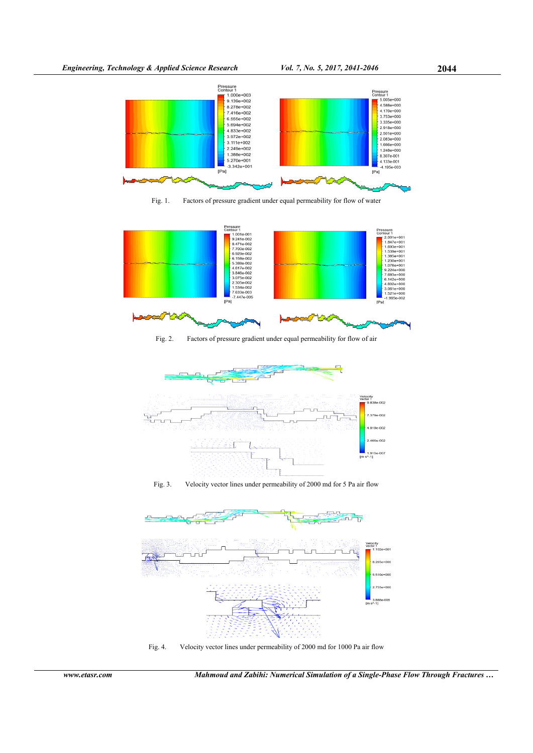

Fig. 1. Factors of pressure gradient under equal permeability for flow of water



Fig. 2. Factors of pressure gradient under equal permeability for flow of air





Fig. 4. Velocity vector lines under permeability of 2000 md for 1000 Pa air flow

*www.etasr.com Mahmoud and Zabihi: Numerical Simulation of a Single-Phase Flow Through Fractures …*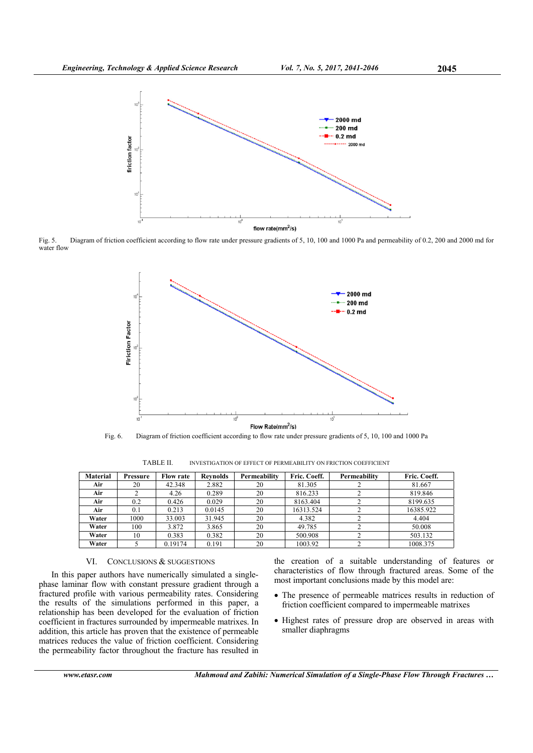

Fig. 5. Diagram of friction coefficient according to flow rate under pressure gradients of 5, 10, 100 and 1000 Pa and permeability of 0.2, 200 and 2000 md for water flow



Fig. 6. Diagram of friction coefficient according to flow rate under pressure gradients of 5, 10, 100 and 1000 Pa

| <b>Material</b> | Pressure | <b>Flow rate</b> | <b>Revnolds</b> | Permeability | Fric. Coeff. | Permeability | Fric. Coeff. |
|-----------------|----------|------------------|-----------------|--------------|--------------|--------------|--------------|
| Air             | 20       | 42.348           | 2.882           | 20           | 81.305       |              | 81.667       |
| Air             |          | 4.26             | 0.289           | 20           | 816.233      |              | 819.846      |
| Air             | 0.2      | 0.426            | 0.029           | 20           | 8163.404     |              | 8199.635     |
| Air             | 0.1      | 0.213            | 0.0145          | 20           | 16313.524    |              | 16385.922    |
| Water           | 1000     | 33.003           | 31.945          | 20           | 4.382        |              | 4.404        |
| Water           | 100      | 3.872            | 3.865           | 20           | 49.785       |              | 50.008       |
| Water           | 10       | 0.383            | 0.382           | 20           | 500.908      |              | 503.132      |
| Water           |          | 0.19174          | 0.191           | 20           | 1003.92      |              | 1008.375     |

TABLE II. INVESTIGATION OF EFFECT OF PERMEABILITY ON FRICTION COEFFICIENT

# VI. CONCLUSIONS & SUGGESTIONS

In this paper authors have numerically simulated a singlephase laminar flow with constant pressure gradient through a fractured profile with various permeability rates. Considering the results of the simulations performed in this paper, a relationship has been developed for the evaluation of friction coefficient in fractures surrounded by impermeable matrixes. In addition, this article has proven that the existence of permeable matrices reduces the value of friction coefficient. Considering the permeability factor throughout the fracture has resulted in the creation of a suitable understanding of features or characteristics of flow through fractured areas. Some of the most important conclusions made by this model are:

- The presence of permeable matrices results in reduction of friction coefficient compared to impermeable matrixes
- Highest rates of pressure drop are observed in areas with smaller diaphragms